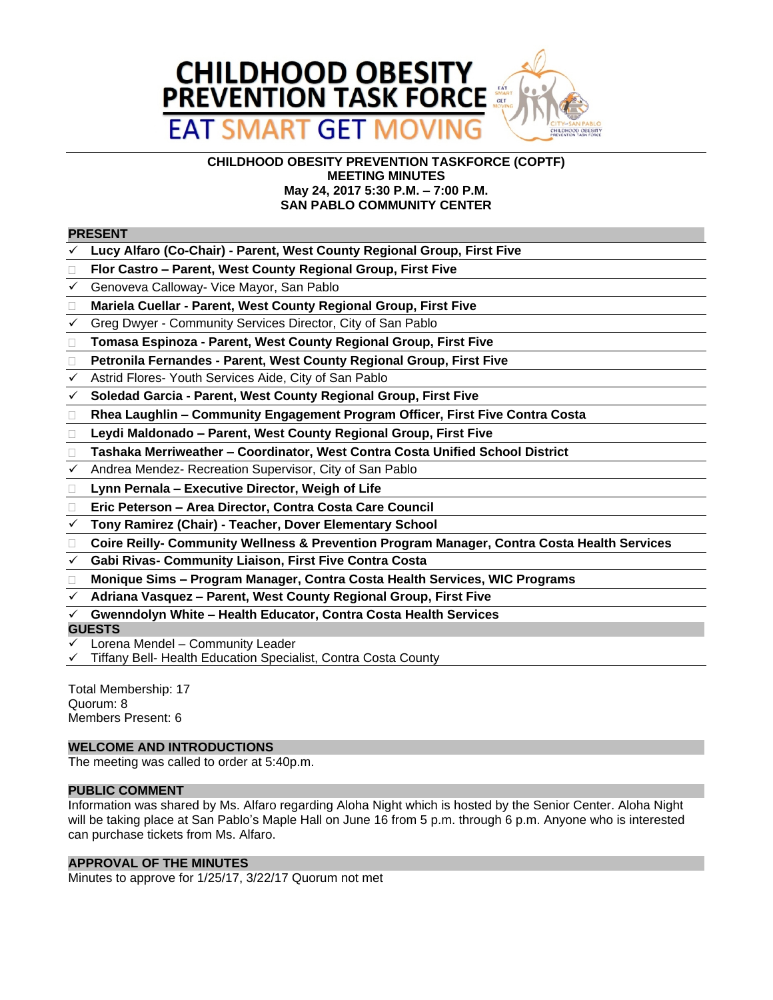

### **CHILDHOOD OBESITY PREVENTION TASKFORCE (COPTF) MEETING MINUTES May 24, 2017 5:30 P.M. – 7:00 P.M. SAN PABLO COMMUNITY CENTER**

#### **PRESENT**

- **Lucy Alfaro (Co-Chair) Parent, West County Regional Group, First Five**
- **Flor Castro – Parent, West County Regional Group, First Five**
- Genoveva Calloway- Vice Mayor, San Pablo
- **Mariela Cuellar Parent, West County Regional Group, First Five**
- $\checkmark$  Greg Dwyer Community Services Director, City of San Pablo
- **Tomasa Espinoza Parent, West County Regional Group, First Five**
- **Petronila Fernandes Parent, West County Regional Group, First Five**
- Astrid Flores- Youth Services Aide, City of San Pablo
- **Soledad Garcia Parent, West County Regional Group, First Five**
- **Rhea Laughlin – Community Engagement Program Officer, First Five Contra Costa**
- **Leydi Maldonado – Parent, West County Regional Group, First Five**
- **Tashaka Merriweather – Coordinator, West Contra Costa Unified School District**
- $\checkmark$  Andrea Mendez- Recreation Supervisor, City of San Pablo
- **Lynn Pernala – Executive Director, Weigh of Life**
- DRAFT **Eric Peterson – Area Director, Contra Costa Care Council**
- **Tony Ramirez (Chair) Teacher, Dover Elementary School**
- **Coire Reilly- Community Wellness & Prevention Program Manager, Contra Costa Health Services**
- **Gabi Rivas- Community Liaison, First Five Contra Costa**
- **Monique Sims – Program Manager, Contra Costa Health Services, WIC Programs**
- **Adriana Vasquez – Parent, West County Regional Group, First Five**
- **Gwenndolyn White – Health Educator, Contra Costa Health Services**

#### **GUESTS**

- Lorena Mendel Community Leader
- Tiffany Bell- Health Education Specialist, Contra Costa County

Total Membership: 17 Quorum: 8 Members Present: 6

# **WELCOME AND INTRODUCTIONS**

The meeting was called to order at 5:40p.m.

#### **PUBLIC COMMENT**

Information was shared by Ms. Alfaro regarding Aloha Night which is hosted by the Senior Center. Aloha Night will be taking place at San Pablo's Maple Hall on June 16 from 5 p.m. through 6 p.m. Anyone who is interested can purchase tickets from Ms. Alfaro.

#### **APPROVAL OF THE MINUTES**

Minutes to approve for 1/25/17, 3/22/17 Quorum not met